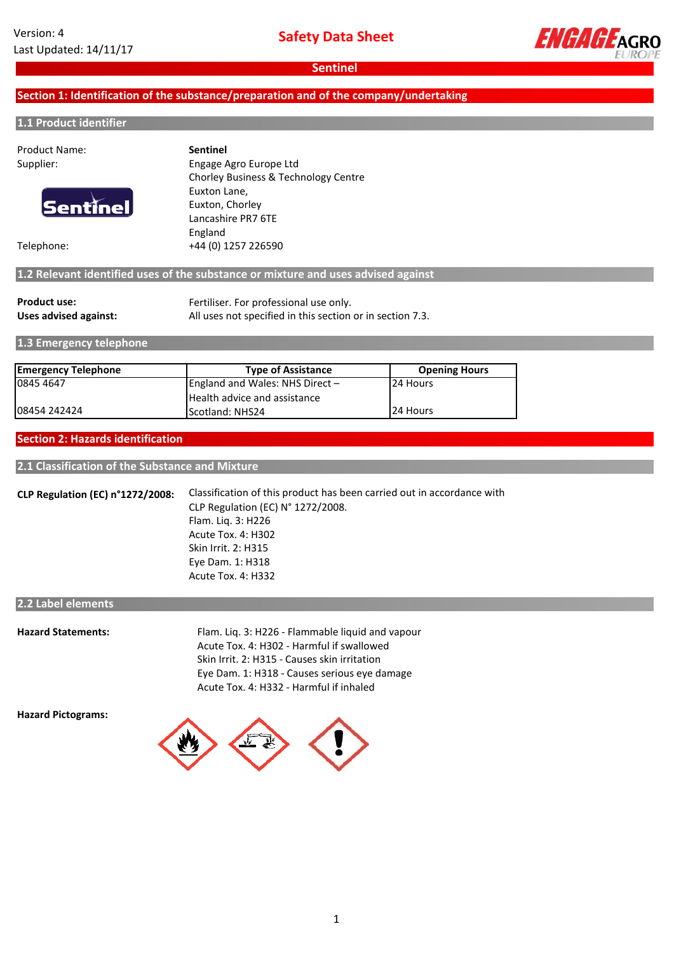

## **Section 1: Identification of the substance/preparation and of the company/undertaking**

#### **1.1 Product identifier**

| <b>Product Name:</b> | <b>Sentinel</b>                                                                   |
|----------------------|-----------------------------------------------------------------------------------|
| Supplier:            | Engage Agro Europe Ltd                                                            |
|                      | Chorley Business & Technology Centre                                              |
|                      | Euxton Lane,                                                                      |
| <b>Sentinel</b>      | Euxton, Chorley                                                                   |
|                      | Lancashire PR7 6TE                                                                |
|                      | England                                                                           |
| Telephone:           | +44 (0) 1257 226590                                                               |
|                      | 1.2 Relevant identified uses of the substance or mixture and uses advised against |
|                      |                                                                                   |

| <b>Product use:</b>   | Fertiliser. For professional use only.                    |
|-----------------------|-----------------------------------------------------------|
| Uses advised against: | All uses not specified in this section or in section 7.3. |

**1.3 Emergency telephone**

| <b>Emergency Telephone</b> | <b>Type of Assistance</b>         | <b>Opening Hours</b> |
|----------------------------|-----------------------------------|----------------------|
| 10845 4647                 | England and Wales: NHS Direct $-$ | 24 Hours             |
|                            | Health advice and assistance      |                      |
| 108454 242424              | <b>IScotland: NHS24</b>           | 24 Hours             |

#### **Section 2: Hazards identification**

**2.1 Classification of the Substance and Mixture**

**CLP Regulation (EC) n°1272/2008:** Classification of this product has been carried out in accordance with CLP Regulation (EC) N° 1272/2008. Flam. Liq. 3: H226 Acute Tox. 4: H302 Skin Irrit. 2: H315 Eye Dam. 1: H318 Acute Tox. 4: H332

#### **2.2 Label elements**

**Hazard Statements:**

Skin Irrit. 2: H315 - Causes skin irritation Acute Tox. 4: H332 - Harmful if inhaled Flam. Liq. 3: H226 - Flammable liquid and vapour Acute Tox. 4: H302 - Harmful if swallowed Eye Dam. 1: H318 - Causes serious eye damage

**Hazard Pictograms:**

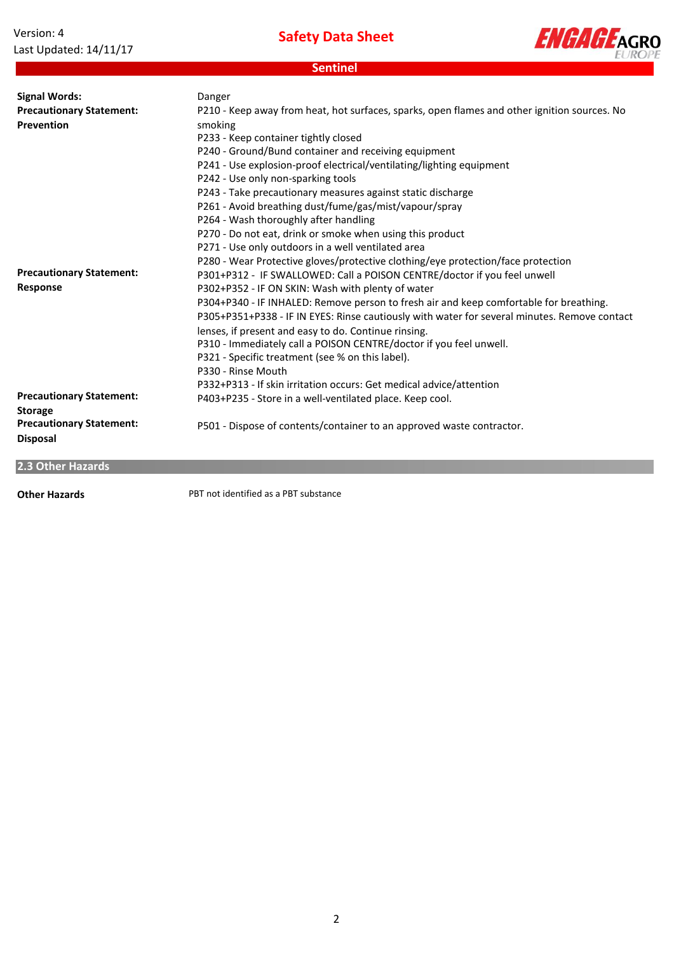| Version: 4             |
|------------------------|
| Last Updated: 14/11/17 |

**Safety Data Sheet**

**Sentinel**



**Precautionary Statement: Response** P304+P340 - IF INHALED: Remove person to fresh air and keep comfortable for breathing. P330 - Rinse Mouth P332+P313 - If skin irritation occurs: Get medical advice/attention **Precautionary Statement: Storage** P403+P235 - Store in a well-ventilated place. Keep cool. **Precautionary Statement: Disposal** P501 - Dispose of contents/container to an approved waste contractor. **Signal Words: Precautionary Statement: Prevention** P305+P351+P338 - IF IN EYES: Rinse cautiously with water for several minutes. Remove contact lenses, if present and easy to do. Continue rinsing. P310 - Immediately call a POISON CENTRE/doctor if you feel unwell. P321 - Specific treatment (see % on this label). Danger P264 - Wash thoroughly after handling P270 - Do not eat, drink or smoke when using this product P302+P352 - IF ON SKIN: Wash with plenty of water P280 - Wear Protective gloves/protective clothing/eye protection/face protection P271 - Use only outdoors in a well ventilated area P243 - Take precautionary measures against static discharge P242 - Use only non-sparking tools P241 - Use explosion-proof electrical/ventilating/lighting equipment P240 - Ground/Bund container and receiving equipment P233 - Keep container tightly closed P301+P312 - IF SWALLOWED: Call a POISON CENTRE/doctor if you feel unwell P210 - Keep away from heat, hot surfaces, sparks, open flames and other ignition sources. No smoking P261 - Avoid breathing dust/fume/gas/mist/vapour/spray

**2.3 Other Hazards**

**Other Hazards**

PBT not identified as a PBT substance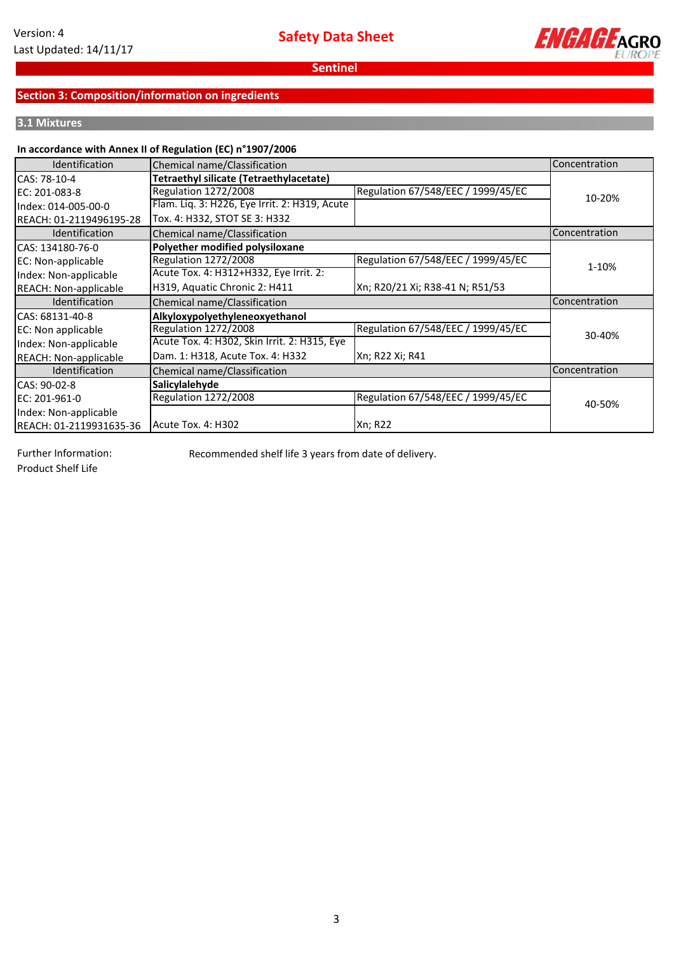

## **Section 3: Composition/information on ingredients**

## **3.1 Mixtures**

### **In accordance with Annex II of Regulation (EC) n°1907/2006**

| <b>Identification</b>        | Chemical name/Classification                  |                                    | Concentration |
|------------------------------|-----------------------------------------------|------------------------------------|---------------|
| CAS: 78-10-4                 | Tetraethyl silicate (Tetraethylacetate)       |                                    |               |
| EC: 201-083-8                | Regulation 1272/2008                          | Regulation 67/548/EEC / 1999/45/EC | 10-20%        |
| Index: 014-005-00-0          | Flam. Liq. 3: H226, Eye Irrit. 2: H319, Acute |                                    |               |
| REACH: 01-2119496195-28      | Tox. 4: H332, STOT SE 3: H332                 |                                    |               |
| <b>Identification</b>        | Chemical name/Classification                  |                                    | Concentration |
| CAS: 134180-76-0             | Polyether modified polysiloxane               |                                    |               |
| EC: Non-applicable           | Regulation 1272/2008                          | Regulation 67/548/EEC / 1999/45/EC | 1-10%         |
| Index: Non-applicable        | Acute Tox. 4: H312+H332, Eye Irrit. 2:        |                                    |               |
| REACH: Non-applicable        | H319, Aquatic Chronic 2: H411                 | Xn; R20/21 Xi; R38-41 N; R51/53    |               |
| Identification               | Chemical name/Classification                  |                                    | Concentration |
| CAS: 68131-40-8              | Alkyloxypolyethyleneoxyethanol                |                                    |               |
| EC: Non applicable           | Regulation 1272/2008                          | Regulation 67/548/EEC / 1999/45/EC | 30-40%        |
| Index: Non-applicable        | Acute Tox. 4: H302, Skin Irrit. 2: H315, Eye  |                                    |               |
| <b>REACH: Non-applicable</b> | Dam. 1: H318, Acute Tox. 4: H332              | Xn; R22 Xi; R41                    |               |
| Identification               | Chemical name/Classification                  |                                    | Concentration |
| CAS: 90-02-8                 | Salicylalehyde                                |                                    |               |
| EC: 201-961-0                | Regulation 1272/2008                          | Regulation 67/548/EEC / 1999/45/EC | 40-50%        |
| Index: Non-applicable        |                                               |                                    |               |
| REACH: 01-2119931635-36      | Acute Tox. 4: H302                            | <b>Xn</b> ; R22                    |               |

Further Information:

Recommended shelf life 3 years from date of delivery.

Product Shelf Life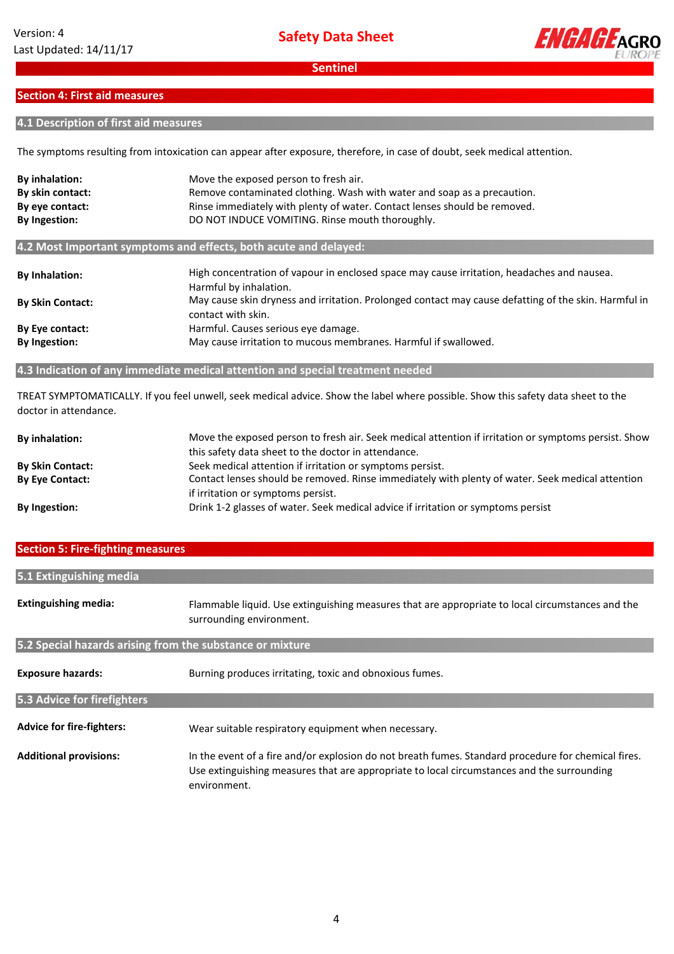

## **Section 4: First aid measures**

## **4.1 Description of first aid measures**

The symptoms resulting from intoxication can appear after exposure, therefore, in case of doubt, seek medical attention.

| <b>By inhalation:</b>   | Move the exposed person to fresh air.                                                                                      |  |
|-------------------------|----------------------------------------------------------------------------------------------------------------------------|--|
| By skin contact:        | Remove contaminated clothing. Wash with water and soap as a precaution.                                                    |  |
| By eye contact:         | Rinse immediately with plenty of water. Contact lenses should be removed.                                                  |  |
| <b>By Ingestion:</b>    | DO NOT INDUCE VOMITING. Rinse mouth thoroughly.                                                                            |  |
|                         | 4.2 Most Important symptoms and effects, both acute and delayed:                                                           |  |
| <b>By Inhalation:</b>   | High concentration of vapour in enclosed space may cause irritation, headaches and nausea.<br>Harmful by inhalation.       |  |
| <b>By Skin Contact:</b> | May cause skin dryness and irritation. Prolonged contact may cause defatting of the skin. Harmful in<br>contact with skin. |  |
| By Eye contact:         | Harmful. Causes serious eye damage.                                                                                        |  |
| <b>By Ingestion:</b>    | May cause irritation to mucous membranes. Harmful if swallowed.                                                            |  |

### **4.3 Indication of any immediate medical attention and special treatment needed**

TREAT SYMPTOMATICALLY. If you feel unwell, seek medical advice. Show the label where possible. Show this safety data sheet to the doctor in attendance.

| <b>By inhalation:</b>   | Move the exposed person to fresh air. Seek medical attention if irritation or symptoms persist. Show |
|-------------------------|------------------------------------------------------------------------------------------------------|
|                         | this safety data sheet to the doctor in attendance.                                                  |
| <b>By Skin Contact:</b> | Seek medical attention if irritation or symptoms persist.                                            |
| <b>By Eye Contact:</b>  | Contact lenses should be removed. Rinse immediately with plenty of water. Seek medical attention     |
|                         | if irritation or symptoms persist.                                                                   |
| <b>By Ingestion:</b>    | Drink 1-2 glasses of water. Seek medical advice if irritation or symptoms persist                    |

#### **Section 5: Fire-fighting measures**

| 5.1 Extinguishing media                                   |                                                                                                                              |
|-----------------------------------------------------------|------------------------------------------------------------------------------------------------------------------------------|
|                                                           |                                                                                                                              |
| <b>Extinguishing media:</b>                               | Flammable liquid. Use extinguishing measures that are appropriate to local circumstances and the<br>surrounding environment. |
| 5.2 Special hazards arising from the substance or mixture |                                                                                                                              |
|                                                           |                                                                                                                              |
| <b>Exposure hazards:</b>                                  | Burning produces irritating, toxic and obnoxious fumes.                                                                      |
| 5.3 Advice for firefighters                               |                                                                                                                              |
|                                                           |                                                                                                                              |
| Advice for fire-fighters:                                 | Wear suitable respiratory equipment when necessary.                                                                          |
| <b>Additional provisions:</b>                             | In the event of a fire and/or explosion do not breath fumes. Standard procedure for chemical fires.                          |
|                                                           | Use extinguishing measures that are appropriate to local circumstances and the surrounding<br>environment.                   |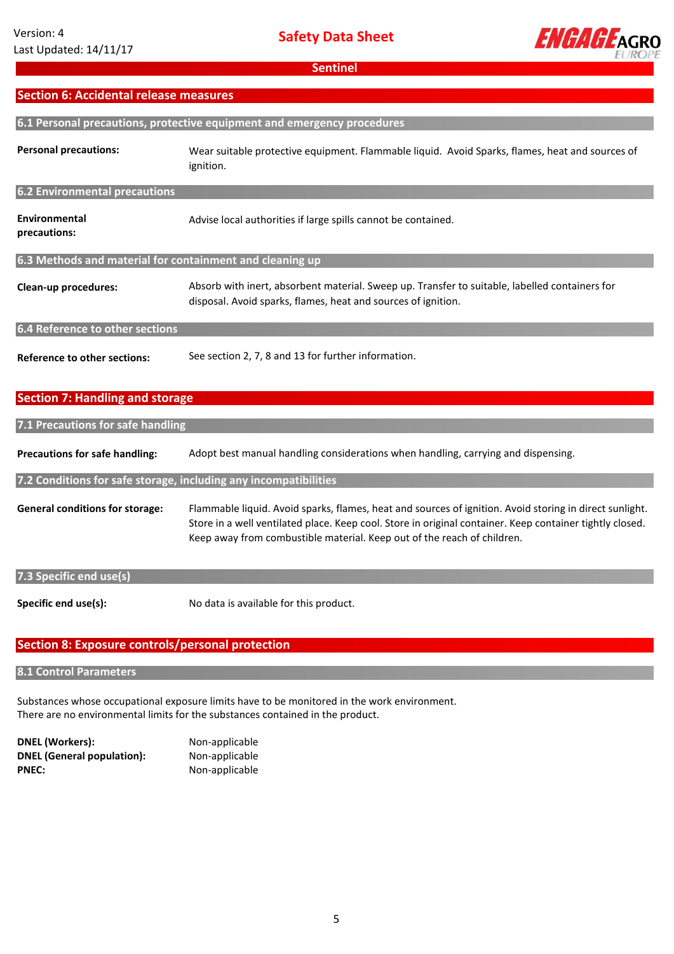

## **Section 6: Accidental release measures**

| 6.1 Personal precautions, protective equipment and emergency procedures |                                                                                                                                                                                                                                                                                                |  |
|-------------------------------------------------------------------------|------------------------------------------------------------------------------------------------------------------------------------------------------------------------------------------------------------------------------------------------------------------------------------------------|--|
| <b>Personal precautions:</b>                                            | Wear suitable protective equipment. Flammable liquid. Avoid Sparks, flames, heat and sources of<br>ignition.                                                                                                                                                                                   |  |
| <b>6.2 Environmental precautions</b>                                    |                                                                                                                                                                                                                                                                                                |  |
| Environmental<br>precautions:                                           | Advise local authorities if large spills cannot be contained.                                                                                                                                                                                                                                  |  |
| 6.3 Methods and material for containment and cleaning up                |                                                                                                                                                                                                                                                                                                |  |
| Clean-up procedures:                                                    | Absorb with inert, absorbent material. Sweep up. Transfer to suitable, labelled containers for<br>disposal. Avoid sparks, flames, heat and sources of ignition.                                                                                                                                |  |
| 6.4 Reference to other sections                                         |                                                                                                                                                                                                                                                                                                |  |
| <b>Reference to other sections:</b>                                     | See section 2, 7, 8 and 13 for further information.                                                                                                                                                                                                                                            |  |
| <b>Section 7: Handling and storage</b>                                  |                                                                                                                                                                                                                                                                                                |  |
| 7.1 Precautions for safe handling                                       |                                                                                                                                                                                                                                                                                                |  |
| <b>Precautions for safe handling:</b>                                   | Adopt best manual handling considerations when handling, carrying and dispensing.                                                                                                                                                                                                              |  |
| 7.2 Conditions for safe storage, including any incompatibilities        |                                                                                                                                                                                                                                                                                                |  |
| <b>General conditions for storage:</b>                                  | Flammable liquid. Avoid sparks, flames, heat and sources of ignition. Avoid storing in direct sunlight.<br>Store in a well ventilated place. Keep cool. Store in original container. Keep container tightly closed.<br>Keep away from combustible material. Keep out of the reach of children. |  |
| 7.3 Specific end use(s)                                                 |                                                                                                                                                                                                                                                                                                |  |
| Specific end use(s):                                                    | No data is available for this product.                                                                                                                                                                                                                                                         |  |

# **Section 8: Exposure controls/personal protection**

**8.1 Control Parameters**

Substances whose occupational exposure limits have to be monitored in the work environment. There are no environmental limits for the substances contained in the product.

| <b>DNEL (Workers):</b>            |  |
|-----------------------------------|--|
| <b>DNEL (General population):</b> |  |
| <b>PNEC:</b>                      |  |

**Non-applicable DNEL (General population):** Non-applicable **PNEC:** Non-applicable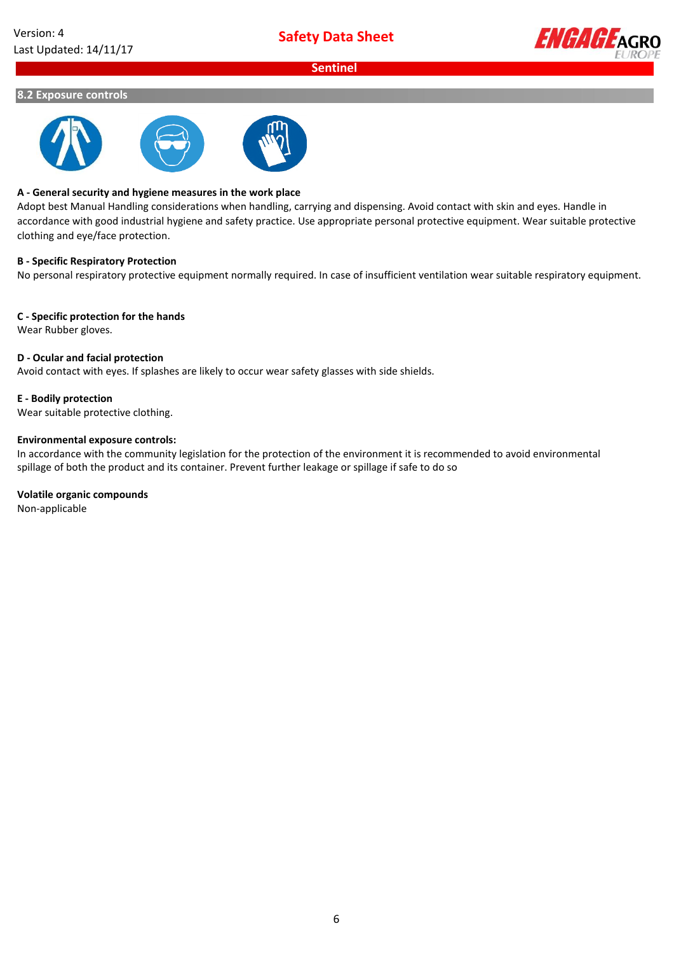

#### **8.2 Exposure controls**



#### **A - General security and hygiene measures in the work place**

Adopt best Manual Handling considerations when handling, carrying and dispensing. Avoid contact with skin and eyes. Handle in accordance with good industrial hygiene and safety practice. Use appropriate personal protective equipment. Wear suitable protective clothing and eye/face protection.

#### **B - Specific Respiratory Protection**

No personal respiratory protective equipment normally required. In case of insufficient ventilation wear suitable respiratory equipment.

#### **C - Specific protection for the hands**

Wear Rubber gloves.

#### **D - Ocular and facial protection**

Avoid contact with eyes. If splashes are likely to occur wear safety glasses with side shields.

#### **E - Bodily protection**

Wear suitable protective clothing.

### **Environmental exposure controls:**

In accordance with the community legislation for the protection of the environment it is recommended to avoid environmental spillage of both the product and its container. Prevent further leakage or spillage if safe to do so

#### **Volatile organic compounds**

Non-applicable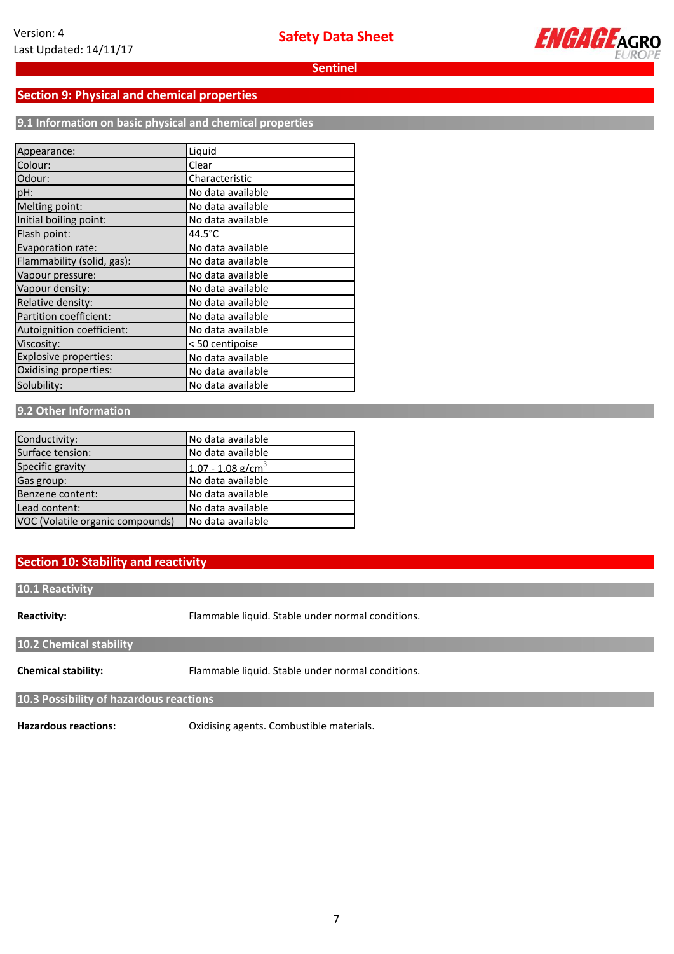

## **Section 9: Physical and chemical properties**

**9.1 Information on basic physical and chemical properties**

| Appearance:                | Liquid            |
|----------------------------|-------------------|
| Colour:                    | Clear             |
| Odour:                     | Characteristic    |
| pH:                        | No data available |
| Melting point:             | No data available |
| Initial boiling point:     | No data available |
| Flash point:               | $44.5^{\circ}$ C  |
| Evaporation rate:          | No data available |
| Flammability (solid, gas): | No data available |
| Vapour pressure:           | No data available |
| Vapour density:            | No data available |
| Relative density:          | No data available |
| Partition coefficient:     | No data available |
| Autoignition coefficient:  | No data available |
| Viscosity:                 | < 50 centipoise   |
| Explosive properties:      | No data available |
| Oxidising properties:      | No data available |
| Solubility:                | No data available |

## **9.2 Other Information**

| Conductivity:                    | No data available               |
|----------------------------------|---------------------------------|
|                                  |                                 |
| Surface tension:                 | No data available               |
| Specific gravity                 | $1.07 - 1.08$ g/cm <sup>3</sup> |
| Gas group:                       | No data available               |
| Benzene content:                 | No data available               |
| Lead content:                    | No data available               |
| VOC (Volatile organic compounds) | No data available               |

## **Section 10: Stability and reactivity**

**10.1 Reactivity**

**Reactivity:**

Flammable liquid. Stable under normal conditions.

**10.2 Chemical stability**

**Chemical stability:** Flammable liquid. Stable under normal conditions.

**10.3 Possibility of hazardous reactions**

**Hazardous reactions:**

Oxidising agents. Combustible materials.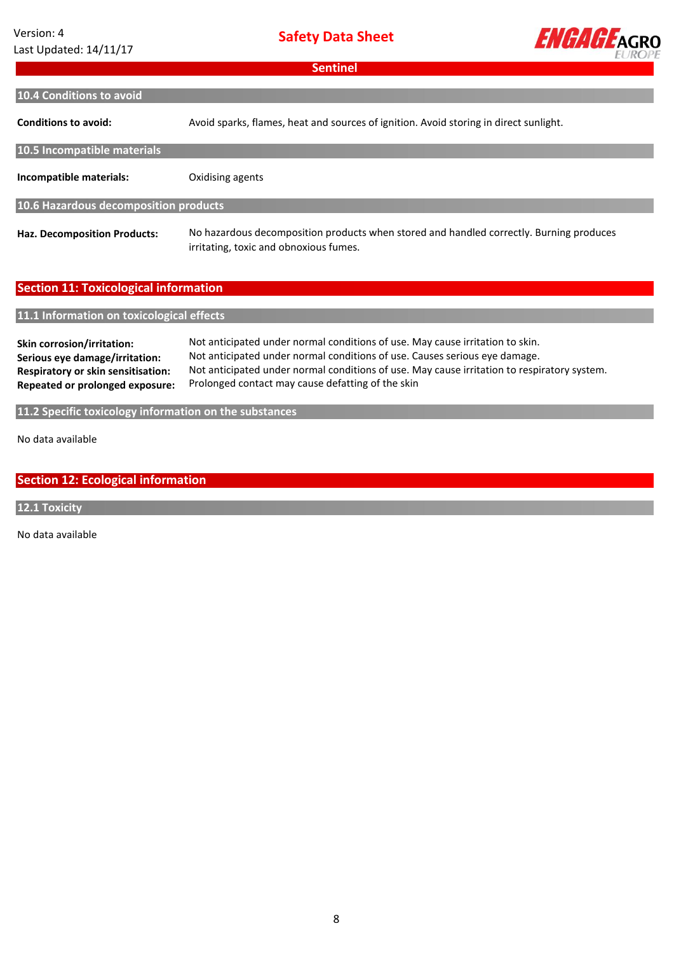## Version: 4 Last Updated: 14/11/17

**Safety Data Sheet**



| <b>Sentinel</b>                                                                                                                              |                                                                                                                                                                                                                                                                                                                 |  |  |  |
|----------------------------------------------------------------------------------------------------------------------------------------------|-----------------------------------------------------------------------------------------------------------------------------------------------------------------------------------------------------------------------------------------------------------------------------------------------------------------|--|--|--|
| 10.4 Conditions to avoid                                                                                                                     |                                                                                                                                                                                                                                                                                                                 |  |  |  |
| <b>Conditions to avoid:</b>                                                                                                                  | Avoid sparks, flames, heat and sources of ignition. Avoid storing in direct sunlight.                                                                                                                                                                                                                           |  |  |  |
| 10.5 Incompatible materials                                                                                                                  |                                                                                                                                                                                                                                                                                                                 |  |  |  |
| Incompatible materials:                                                                                                                      | Oxidising agents                                                                                                                                                                                                                                                                                                |  |  |  |
| 10.6 Hazardous decomposition products                                                                                                        |                                                                                                                                                                                                                                                                                                                 |  |  |  |
| <b>Haz. Decomposition Products:</b>                                                                                                          | No hazardous decomposition products when stored and handled correctly. Burning produces<br>irritating, toxic and obnoxious fumes.                                                                                                                                                                               |  |  |  |
| <b>Section 11: Toxicological information</b>                                                                                                 |                                                                                                                                                                                                                                                                                                                 |  |  |  |
| 11.1 Information on toxicological effects                                                                                                    |                                                                                                                                                                                                                                                                                                                 |  |  |  |
| <b>Skin corrosion/irritation:</b><br>Serious eye damage/irritation:<br>Respiratory or skin sensitisation:<br>Repeated or prolonged exposure: | Not anticipated under normal conditions of use. May cause irritation to skin.<br>Not anticipated under normal conditions of use. Causes serious eye damage.<br>Not anticipated under normal conditions of use. May cause irritation to respiratory system.<br>Prolonged contact may cause defatting of the skin |  |  |  |
| 11.2 Specific toxicology information on the substances                                                                                       |                                                                                                                                                                                                                                                                                                                 |  |  |  |
| No data available                                                                                                                            |                                                                                                                                                                                                                                                                                                                 |  |  |  |

**Section 12: Ecological information**

**12.1 Toxicity**

No data available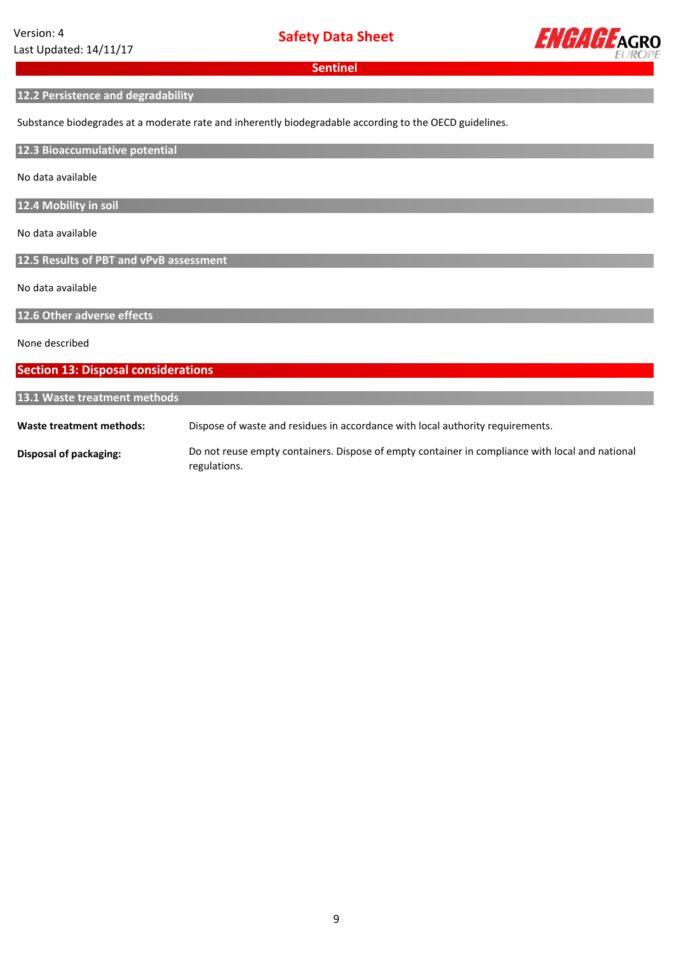

## **12.2 Persistence and degradability**

Substance biodegrades at a moderate rate and inherently biodegradable according to the OECD guidelines.

**12.3 Bioaccumulative potential**

No data available

**12.4 Mobility in soil**

No data available

**12.5 Results of PBT and vPvB assessment**

No data available

**12.6 Other adverse effects**

None described

## **Section 13: Disposal considerations**

### **13.1 Waste treatment methods**

**Waste treatment methods:** Dispose of waste and residues in accordance with local authority requirements.

**Disposal of packaging:** Do not reuse empty containers. Dispose of empty container in compliance with local and national regulations.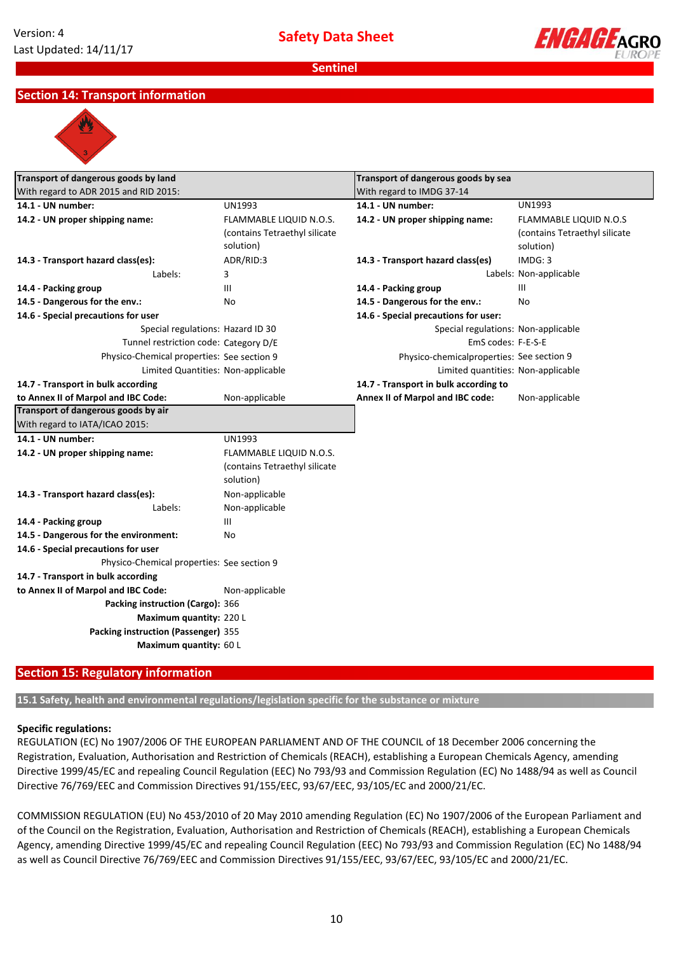

## **Section 14: Transport information**



| Transport of dangerous goods by land<br>With regard to ADR 2015 and RID 2015: |                               | Transport of dangerous goods by sea       |                               |
|-------------------------------------------------------------------------------|-------------------------------|-------------------------------------------|-------------------------------|
|                                                                               |                               | With regard to IMDG 37-14                 |                               |
| 14.1 - UN number:                                                             | <b>UN1993</b>                 | 14.1 - UN number:                         | <b>UN1993</b>                 |
| 14.2 - UN proper shipping name:                                               | FLAMMABLE LIQUID N.O.S.       | 14.2 - UN proper shipping name:           | <b>FLAMMABLE LIQUID N.O.S</b> |
|                                                                               | (contains Tetraethyl silicate |                                           | (contains Tetraethyl silicate |
|                                                                               | solution)                     |                                           | solution)                     |
| 14.3 - Transport hazard class(es):                                            | ADR/RID:3                     | 14.3 - Transport hazard class(es)         | IMDG: 3                       |
| Labels:                                                                       | 3                             |                                           | Labels: Non-applicable        |
| 14.4 - Packing group                                                          | Ш                             | 14.4 - Packing group                      | III                           |
| 14.5 - Dangerous for the env.:                                                | No                            | 14.5 - Dangerous for the env.:            | No                            |
| 14.6 - Special precautions for user                                           |                               | 14.6 - Special precautions for user:      |                               |
| Special regulations: Hazard ID 30                                             |                               | Special regulations: Non-applicable       |                               |
| Tunnel restriction code: Category D/E                                         |                               | EmS codes: F-E-S-E                        |                               |
| Physico-Chemical properties: See section 9                                    |                               | Physico-chemicalproperties: See section 9 |                               |
| Limited Quantities: Non-applicable                                            |                               | Limited quantities: Non-applicable        |                               |
| 14.7 - Transport in bulk according                                            |                               | 14.7 - Transport in bulk according to     |                               |
| to Annex II of Marpol and IBC Code:                                           | Non-applicable                | Annex II of Marpol and IBC code:          | Non-applicable                |
| Transport of dangerous goods by air                                           |                               |                                           |                               |
| With regard to IATA/ICAO 2015:                                                |                               |                                           |                               |
| 14.1 - UN number:                                                             | <b>UN1993</b>                 |                                           |                               |
| 14.2 - UN proper shipping name:                                               | FLAMMABLE LIQUID N.O.S.       |                                           |                               |
|                                                                               | (contains Tetraethyl silicate |                                           |                               |
|                                                                               | solution)                     |                                           |                               |
| 14.3 - Transport hazard class(es):                                            | Non-applicable                |                                           |                               |
| Labels:                                                                       | Non-applicable                |                                           |                               |
| 14.4 - Packing group                                                          | $\mathbf{III}$                |                                           |                               |
| 14.5 - Dangerous for the environment:                                         | No                            |                                           |                               |
| 14.6 - Special precautions for user                                           |                               |                                           |                               |
| Physico-Chemical properties: See section 9                                    |                               |                                           |                               |
| 14.7 - Transport in bulk according                                            |                               |                                           |                               |
| to Annex II of Marpol and IBC Code:                                           | Non-applicable                |                                           |                               |
| Packing instruction (Cargo): 366                                              |                               |                                           |                               |
| Maximum quantity: 220 L                                                       |                               |                                           |                               |
| Packing instruction (Passenger) 355                                           |                               |                                           |                               |
| Maximum quantity: 60 L                                                        |                               |                                           |                               |
|                                                                               |                               |                                           |                               |

## **Section 15: Regulatory information**

**15.1 Safety, health and environmental regulations/legislation specific for the substance or mixture**

#### **Specific regulations:**

REGULATION (EC) No 1907/2006 OF THE EUROPEAN PARLIAMENT AND OF THE COUNCIL of 18 December 2006 concerning the Registration, Evaluation, Authorisation and Restriction of Chemicals (REACH), establishing a European Chemicals Agency, amending Directive 1999/45/EC and repealing Council Regulation (EEC) No 793/93 and Commission Regulation (EC) No 1488/94 as well as Council Directive 76/769/EEC and Commission Directives 91/155/EEC, 93/67/EEC, 93/105/EC and 2000/21/EC.

COMMISSION REGULATION (EU) No 453/2010 of 20 May 2010 amending Regulation (EC) No 1907/2006 of the European Parliament and of the Council on the Registration, Evaluation, Authorisation and Restriction of Chemicals (REACH), establishing a European Chemicals Agency, amending Directive 1999/45/EC and repealing Council Regulation (EEC) No 793/93 and Commission Regulation (EC) No 1488/94 as well as Council Directive 76/769/EEC and Commission Directives 91/155/EEC, 93/67/EEC, 93/105/EC and 2000/21/EC.